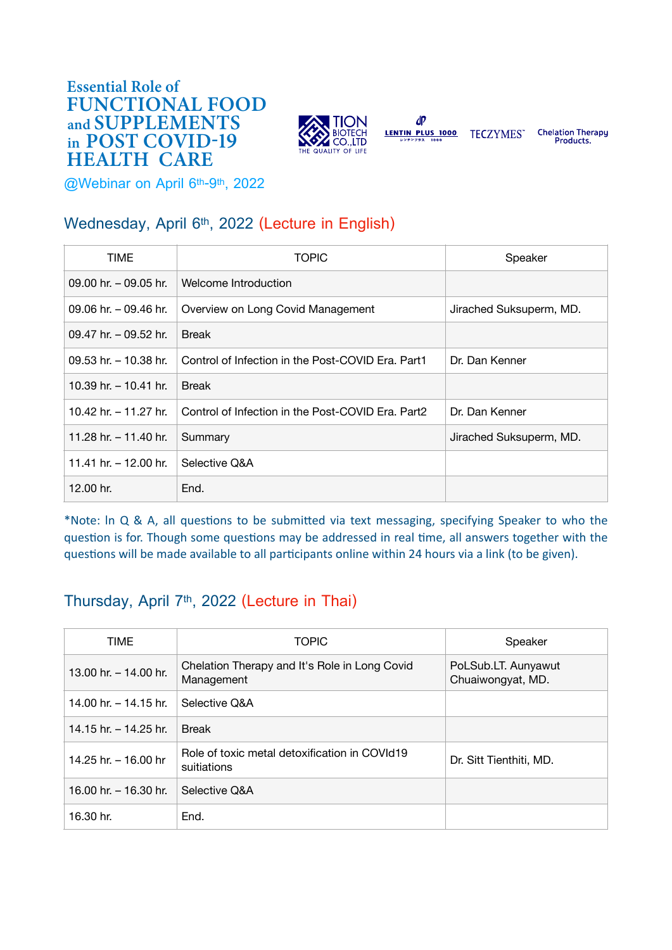#### in POST COVID-19 **Essential Role of** FUNCTIONAL FOOD and SUPPLEMENTS HEALTH CARE



LENTIN PLUS 1000 TECZYMES"

 $dP$ 

**Chelation Therapy** Products.

**@Webinar on April 6th-9th, 2022**

# **Wednesday, April 6th, 2022 (Lecture in English)**

| <b>TIME</b>              | <b>TOPIC</b>                                      | Speaker                 |
|--------------------------|---------------------------------------------------|-------------------------|
| $09.00$ hr. $-09.05$ hr. | Welcome Introduction                              |                         |
| 09.06 hr. $-$ 09.46 hr.  | Overview on Long Covid Management                 | Jirached Suksuperm, MD. |
| $09.47$ hr $-09.52$ hr   | <b>Break</b>                                      |                         |
| 09.53 hr. $-$ 10.38 hr.  | Control of Infection in the Post-COVID Era. Part1 | Dr. Dan Kenner          |
| 10.39 hr. $-$ 10.41 hr.  | <b>Break</b>                                      |                         |
| 10.42 hr $-$ 11.27 hr    | Control of Infection in the Post-COVID Era. Part2 | Dr. Dan Kenner          |
| 11.28 hr. $-$ 11.40 hr.  | Summary                                           | Jirached Suksuperm, MD. |
| 11.41 hr. – 12.00 hr.    | Selective Q&A                                     |                         |
| 12.00 hr.                | End.                                              |                         |

\*Note: ln Q & A, all questions to be submitted via text messaging, specifying Speaker to who the question is for. Though some questions may be addressed in real time, all answers together with the questions will be made available to all participants online within 24 hours via a link (to be given).

## **Thursday, April 7th, 2022 (Lecture in Thai)**

| <b>TIME</b>             | <b>TOPIC</b>                                                 | Speaker                                  |
|-------------------------|--------------------------------------------------------------|------------------------------------------|
| 13.00 hr. - 14.00 hr.   | Chelation Therapy and It's Role in Long Covid<br>Management  | PoLSub.LT. Aunyawut<br>Chuaiwongyat, MD. |
| 14.00 hr. $-$ 14.15 hr. | Selective Q&A                                                |                                          |
| 14.15 hr. $-$ 14.25 hr. | <b>Break</b>                                                 |                                          |
| 14.25 hr. - 16.00 hr    | Role of toxic metal detoxification in COVId19<br>suitiations | Dr. Sitt Tienthiti, MD.                  |
| 16.00 hr. $-$ 16.30 hr. | Selective Q&A                                                |                                          |
| 16.30 hr.               | End.                                                         |                                          |